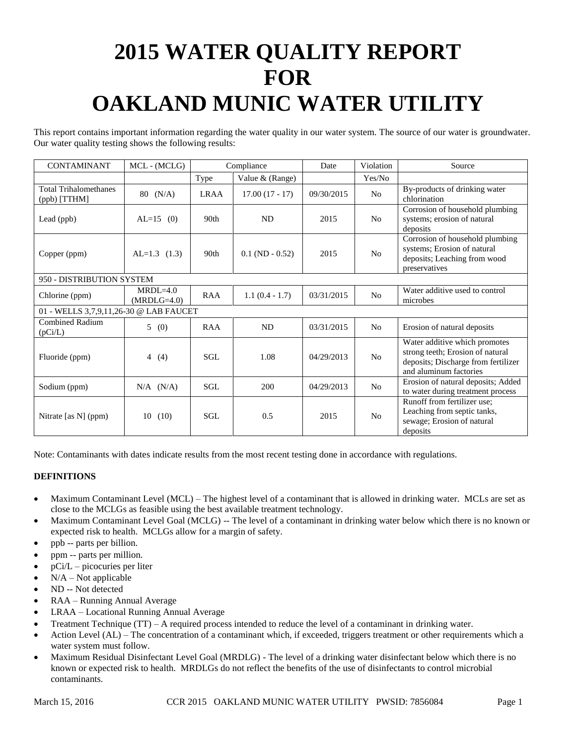# **2015 WATER QUALITY REPORT FOR OAKLAND MUNIC WATER UTILITY**

This report contains important information regarding the water quality in our water system. The source of our water is groundwater. Our water quality testing shows the following results:

| <b>CONTAMINANT</b>                           | MCL - (MCLG)                  | Compliance       |                   | Date       | Violation      | Source                                                                                                                             |
|----------------------------------------------|-------------------------------|------------------|-------------------|------------|----------------|------------------------------------------------------------------------------------------------------------------------------------|
|                                              |                               | Type             | Value & (Range)   |            | Yes/No         |                                                                                                                                    |
| <b>Total Trihalomethanes</b><br>(ppb) [TTHM] | $80 \t(N/A)$                  | <b>LRAA</b>      | $17.00(17 - 17)$  | 09/30/2015 | N <sub>o</sub> | By-products of drinking water<br>chlorination                                                                                      |
| Lead (ppb)                                   | $AL=15$ (0)                   | 90 <sub>th</sub> | <b>ND</b>         | 2015       | No             | Corrosion of household plumbing<br>systems; erosion of natural<br>deposits                                                         |
| Copper (ppm)                                 | $AL=1.3$ (1.3)                | 90 <sub>th</sub> | $0.1$ (ND - 0.52) | 2015       | N <sub>o</sub> | Corrosion of household plumbing<br>systems; Erosion of natural<br>deposits; Leaching from wood<br>preservatives                    |
| 950 - DISTRIBUTION SYSTEM                    |                               |                  |                   |            |                |                                                                                                                                    |
| Chlorine (ppm)                               | $MRDI = 4.0$<br>$(MRDLG=4.0)$ | <b>RAA</b>       | $1.1(0.4 - 1.7)$  | 03/31/2015 | N <sub>0</sub> | Water additive used to control<br>microbes                                                                                         |
| 01 - WELLS 3,7,9,11,26-30 @ LAB FAUCET       |                               |                  |                   |            |                |                                                                                                                                    |
| <b>Combined Radium</b><br>(pCi/L)            | 5(0)                          | <b>RAA</b>       | <b>ND</b>         | 03/31/2015 | No             | Erosion of natural deposits                                                                                                        |
| Fluoride (ppm)                               | $\overline{4}$<br>(4)         | SGL              | 1.08              | 04/29/2013 | No             | Water additive which promotes<br>strong teeth; Erosion of natural<br>deposits; Discharge from fertilizer<br>and aluminum factories |
| Sodium (ppm)                                 | $N/A$ $(N/A)$                 | SGL.             | 200               | 04/29/2013 | N <sub>0</sub> | Erosion of natural deposits; Added<br>to water during treatment process                                                            |
| Nitrate [as N] (ppm)                         | 10<br>(10)                    | SGL.             | 0.5               | 2015       | N <sub>o</sub> | Runoff from fertilizer use;<br>Leaching from septic tanks,<br>sewage; Erosion of natural<br>deposits                               |

Note: Contaminants with dates indicate results from the most recent testing done in accordance with regulations.

## **DEFINITIONS**

- Maximum Contaminant Level (MCL) The highest level of a contaminant that is allowed in drinking water. MCLs are set as close to the MCLGs as feasible using the best available treatment technology.
- Maximum Contaminant Level Goal (MCLG) -- The level of a contaminant in drinking water below which there is no known or expected risk to health. MCLGs allow for a margin of safety.
- ppb -- parts per billion.
- ppm -- parts per million.
- pCi/L picocuries per liter
- N/A Not applicable
- ND -- Not detected
- RAA Running Annual Average
- LRAA Locational Running Annual Average
- Treatment Technique (TT) A required process intended to reduce the level of a contaminant in drinking water.
- Action Level (AL) The concentration of a contaminant which, if exceeded, triggers treatment or other requirements which a water system must follow.
- Maximum Residual Disinfectant Level Goal (MRDLG) The level of a drinking water disinfectant below which there is no known or expected risk to health. MRDLGs do not reflect the benefits of the use of disinfectants to control microbial contaminants.